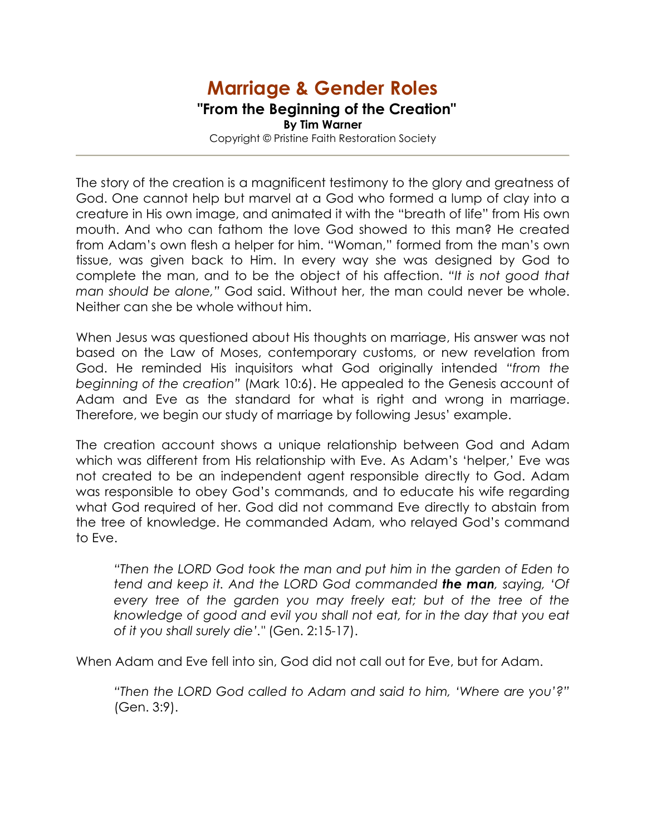## Marriage & Gender Roles "From the Beginning of the Creation" By Tim Warner Copyright © Pristine Faith Restoration Society

The story of the creation is a magnificent testimony to the glory and greatness of God. One cannot help but marvel at a God who formed a lump of clay into a creature in His own image, and animated it with the "breath of life" from His own mouth. And who can fathom the love God showed to this man? He created from Adam's own flesh a helper for him. "Woman," formed from the man's own tissue, was given back to Him. In every way she was designed by God to complete the man, and to be the object of his affection. "It is not good that man should be alone," God said. Without her, the man could never be whole. Neither can she be whole without him.

When Jesus was questioned about His thoughts on marriage, His answer was not based on the Law of Moses, contemporary customs, or new revelation from God. He reminded His inquisitors what God originally intended "from the beginning of the creation" (Mark 10:6). He appealed to the Genesis account of Adam and Eve as the standard for what is right and wrong in marriage. Therefore, we begin our study of marriage by following Jesus' example.

The creation account shows a unique relationship between God and Adam which was different from His relationship with Eve. As Adam's 'helper,' Eve was not created to be an independent agent responsible directly to God. Adam was responsible to obey God's commands, and to educate his wife regarding what God required of her. God did not command Eve directly to abstain from the tree of knowledge. He commanded Adam, who relayed God's command to Eve.

"Then the LORD God took the man and put him in the garden of Eden to tend and keep it. And the LORD God commanded **the man**, saying, 'Of every tree of the garden you may freely eat; but of the tree of the knowledge of good and evil you shall not eat, for in the day that you eat of it you shall surely die'." (Gen. 2:15-17).

When Adam and Eve fell into sin, God did not call out for Eve, but for Adam.

"Then the LORD God called to Adam and said to him, 'Where are you'?" (Gen. 3:9).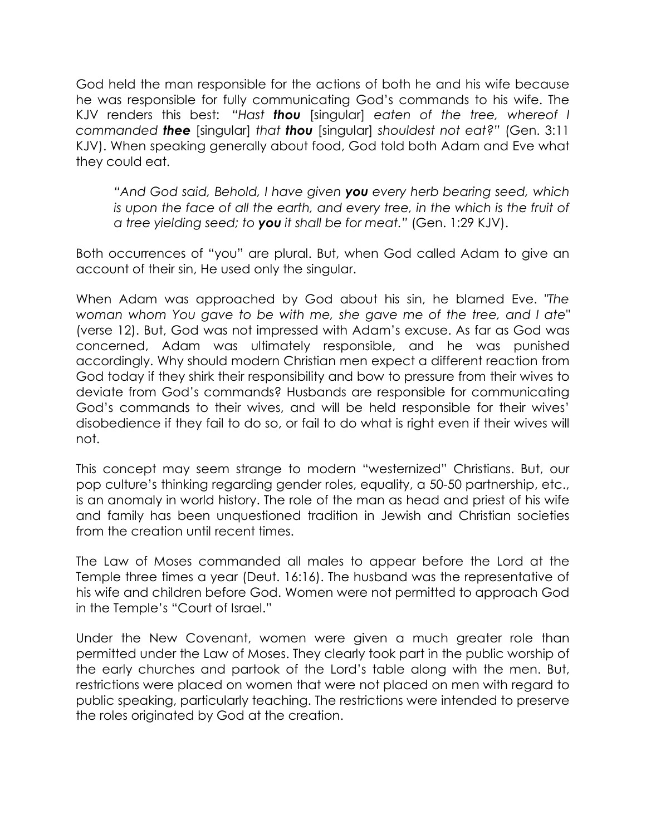God held the man responsible for the actions of both he and his wife because he was responsible for fully communicating God's commands to his wife. The KJV renders this best: "Hast **thou** [singular] eaten of the tree, whereof I commanded **thee** [singular] that **thou** [singular] shouldest not eat?" (Gen. 3:11 KJV). When speaking generally about food, God told both Adam and Eve what they could eat.

"And God said, Behold, I have given you every herb bearing seed, which is upon the face of all the earth, and every tree, in the which is the fruit of a tree yielding seed; to you it shall be for meat." (Gen. 1:29 KJV).

Both occurrences of "you" are plural. But, when God called Adam to give an account of their sin, He used only the singular.

When Adam was approached by God about his sin, he blamed Eve. "The woman whom You gave to be with me, she gave me of the tree, and I ate" (verse 12). But, God was not impressed with Adam's excuse. As far as God was concerned, Adam was ultimately responsible, and he was punished accordingly. Why should modern Christian men expect a different reaction from God today if they shirk their responsibility and bow to pressure from their wives to deviate from God's commands? Husbands are responsible for communicating God's commands to their wives, and will be held responsible for their wives' disobedience if they fail to do so, or fail to do what is right even if their wives will not.

This concept may seem strange to modern "westernized" Christians. But, our pop culture's thinking regarding gender roles, equality, a 50-50 partnership, etc., is an anomaly in world history. The role of the man as head and priest of his wife and family has been unquestioned tradition in Jewish and Christian societies from the creation until recent times.

The Law of Moses commanded all males to appear before the Lord at the Temple three times a year (Deut. 16:16). The husband was the representative of his wife and children before God. Women were not permitted to approach God in the Temple's "Court of Israel."

Under the New Covenant, women were given a much greater role than permitted under the Law of Moses. They clearly took part in the public worship of the early churches and partook of the Lord's table along with the men. But, restrictions were placed on women that were not placed on men with regard to public speaking, particularly teaching. The restrictions were intended to preserve the roles originated by God at the creation.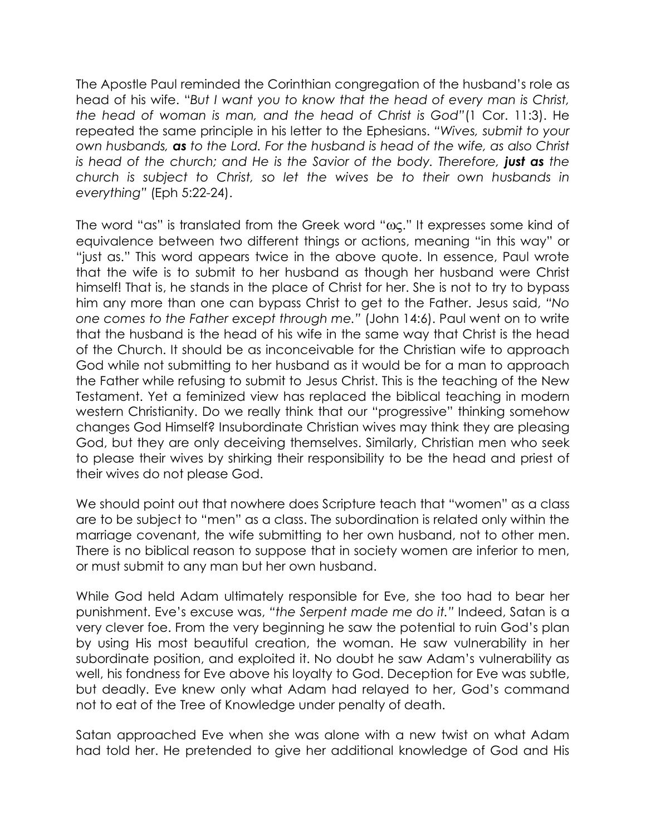The Apostle Paul reminded the Corinthian congregation of the husband's role as head of his wife. "But I want you to know that the head of every man is Christ, the head of woman is man, and the head of Christ is God"(1 Cor. 11:3). He repeated the same principle in his letter to the Ephesians. "Wives, submit to your own husbands, as to the Lord. For the husband is head of the wife, as also Christ is head of the church; and He is the Savior of the body. Therefore, **just as** the church is subject to Christ, so let the wives be to their own husbands in everything" (Eph 5:22-24).

The word "as" is translated from the Greek word "ως." It expresses some kind of equivalence between two different things or actions, meaning "in this way" or "just as." This word appears twice in the above quote. In essence, Paul wrote that the wife is to submit to her husband as though her husband were Christ himself! That is, he stands in the place of Christ for her. She is not to try to bypass him any more than one can bypass Christ to get to the Father. Jesus said, "No one comes to the Father except through me." (John 14:6). Paul went on to write that the husband is the head of his wife in the same way that Christ is the head of the Church. It should be as inconceivable for the Christian wife to approach God while not submitting to her husband as it would be for a man to approach the Father while refusing to submit to Jesus Christ. This is the teaching of the New Testament. Yet a feminized view has replaced the biblical teaching in modern western Christianity. Do we really think that our "progressive" thinking somehow changes God Himself? Insubordinate Christian wives may think they are pleasing God, but they are only deceiving themselves. Similarly, Christian men who seek to please their wives by shirking their responsibility to be the head and priest of their wives do not please God.

We should point out that nowhere does Scripture teach that "women" as a class are to be subject to "men" as a class. The subordination is related only within the marriage covenant, the wife submitting to her own husband, not to other men. There is no biblical reason to suppose that in society women are inferior to men, or must submit to any man but her own husband.

While God held Adam ultimately responsible for Eve, she too had to bear her punishment. Eve's excuse was, "the Serpent made me do it." Indeed, Satan is a very clever foe. From the very beginning he saw the potential to ruin God's plan by using His most beautiful creation, the woman. He saw vulnerability in her subordinate position, and exploited it. No doubt he saw Adam's vulnerability as well, his fondness for Eve above his loyalty to God. Deception for Eve was subtle, but deadly. Eve knew only what Adam had relayed to her, God's command not to eat of the Tree of Knowledge under penalty of death.

Satan approached Eve when she was alone with a new twist on what Adam had told her. He pretended to give her additional knowledge of God and His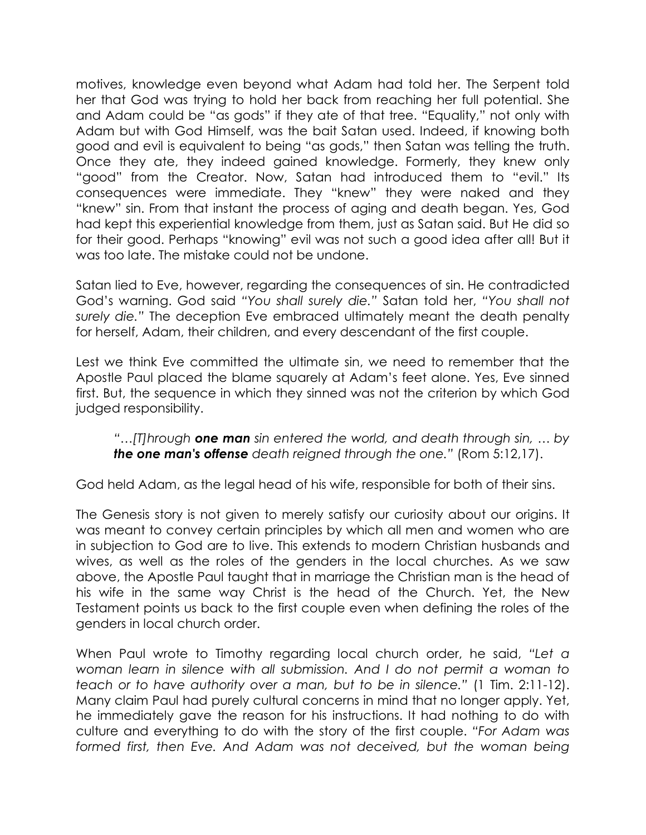motives, knowledge even beyond what Adam had told her. The Serpent told her that God was trying to hold her back from reaching her full potential. She and Adam could be "as gods" if they ate of that tree. "Equality," not only with Adam but with God Himself, was the bait Satan used. Indeed, if knowing both good and evil is equivalent to being "as gods," then Satan was telling the truth. Once they ate, they indeed gained knowledge. Formerly, they knew only "good" from the Creator. Now, Satan had introduced them to "evil." Its consequences were immediate. They "knew" they were naked and they "knew" sin. From that instant the process of aging and death began. Yes, God had kept this experiential knowledge from them, just as Satan said. But He did so for their good. Perhaps "knowing" evil was not such a good idea after all! But it was too late. The mistake could not be undone.

Satan lied to Eve, however, regarding the consequences of sin. He contradicted God's warning. God said "You shall surely die." Satan told her, "You shall not surely die." The deception Eve embraced ultimately meant the death penalty for herself, Adam, their children, and every descendant of the first couple.

Lest we think Eve committed the ultimate sin, we need to remember that the Apostle Paul placed the blame squarely at Adam's feet alone. Yes, Eve sinned first. But, the sequence in which they sinned was not the criterion by which God judged responsibility.

"... $[T]$ hrough **one man** sin entered the world, and death through sin, ... by the one man's offense death reigned through the one." (Rom 5:12,17).

God held Adam, as the legal head of his wife, responsible for both of their sins.

The Genesis story is not given to merely satisfy our curiosity about our origins. It was meant to convey certain principles by which all men and women who are in subjection to God are to live. This extends to modern Christian husbands and wives, as well as the roles of the genders in the local churches. As we saw above, the Apostle Paul taught that in marriage the Christian man is the head of his wife in the same way Christ is the head of the Church. Yet, the New Testament points us back to the first couple even when defining the roles of the genders in local church order.

When Paul wrote to Timothy regarding local church order, he said, "Let a woman learn in silence with all submission. And I do not permit a woman to teach or to have authority over a man, but to be in silence." (1 Tim. 2:11-12). Many claim Paul had purely cultural concerns in mind that no longer apply. Yet, he immediately gave the reason for his instructions. It had nothing to do with culture and everything to do with the story of the first couple. "For Adam was formed first, then Eve. And Adam was not deceived, but the woman being